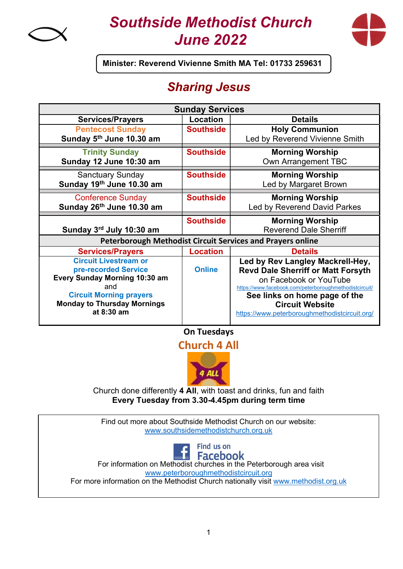

# Southside Methodist Church June 2022



Minister: Reverend Vivienne Smith MA Tel: 01733 259631

## Sharing Jesus

| <b>Sunday Services</b>                                            |                  |                                                        |
|-------------------------------------------------------------------|------------------|--------------------------------------------------------|
| <b>Services/Prayers</b>                                           | Location         | <b>Details</b>                                         |
| <b>Pentecost Sunday</b>                                           | <b>Southside</b> | <b>Holy Communion</b>                                  |
| Sunday 5th June 10.30 am                                          |                  | Led by Reverend Vivienne Smith                         |
| <b>Trinity Sunday</b>                                             | <b>Southside</b> | <b>Morning Worship</b>                                 |
| Sunday 12 June 10:30 am                                           |                  | Own Arrangement TBC                                    |
| <b>Sanctuary Sunday</b>                                           | <b>Southside</b> | <b>Morning Worship</b>                                 |
| Sunday 19th June 10.30 am                                         |                  | Led by Margaret Brown                                  |
| <b>Conference Sunday</b>                                          | <b>Southside</b> | <b>Morning Worship</b>                                 |
| Sunday 26th June 10.30 am                                         |                  | Led by Reverend David Parkes                           |
|                                                                   | <b>Southside</b> | <b>Morning Worship</b>                                 |
| Sunday 3rd July 10:30 am                                          |                  | <b>Reverend Dale Sherriff</b>                          |
| <b>Peterborough Methodist Circuit Services and Prayers online</b> |                  |                                                        |
| <b>Services/Prayers</b>                                           | <b>Location</b>  | <b>Details</b>                                         |
| <b>Circuit Livestream or</b>                                      |                  | Led by Rev Langley Mackrell-Hey,                       |
| pre-recorded Service                                              | <b>Online</b>    | <b>Revd Dale Sherriff or Matt Forsyth</b>              |
| <b>Every Sunday Morning 10:30 am</b>                              |                  | on Facebook or YouTube                                 |
| and                                                               |                  | https://www.facebook.com/peterboroughmethodistcircuit/ |
| <b>Circuit Morning prayers</b>                                    |                  | See links on home page of the                          |
| <b>Monday to Thursday Mornings</b>                                |                  | <b>Circuit Website</b>                                 |
| at 8:30 am                                                        |                  | https://www.peterboroughmethodistcircuit.org/          |

On Tuesdays

Church 4 All



Church done differently 4 All, with toast and drinks, fun and faith Every Tuesday from 3.30-4.45pm during term time

Find out more about Southside Methodist Church on our website: www.southsidemethodistchurch.org.uk



 For information on Methodist churches in the Peterborough area visit www.peterboroughmethodistcircuit.org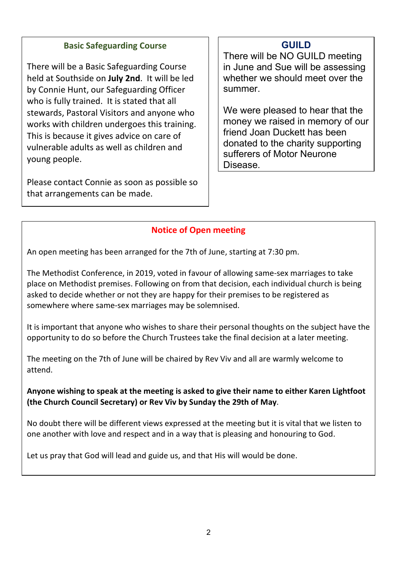#### Basic Safeguarding Course

There will be a Basic Safeguarding Course held at Southside on July 2nd. It will be led by Connie Hunt, our Safeguarding Officer who is fully trained. It is stated that all stewards, Pastoral Visitors and anyone who works with children undergoes this training. This is because it gives advice on care of vulnerable adults as well as children and young people.

Please contact Connie as soon as possible so that arrangements can be made.

## GUILD

There will be NO GUILD meeting in June and Sue will be assessing whether we should meet over the summer.

We were pleased to hear that the money we raised in memory of our friend Joan Duckett has been donated to the charity supporting sufferers of Motor Neurone Disease.

## Notice of Open meeting

An open meeting has been arranged for the 7th of June, starting at 7:30 pm.

The Methodist Conference, in 2019, voted in favour of allowing same-sex marriages to take place on Methodist premises. Following on from that decision, each individual church is being asked to decide whether or not they are happy for their premises to be registered as somewhere where same-sex marriages may be solemnised.

It is important that anyone who wishes to share their personal thoughts on the subject have the opportunity to do so before the Church Trustees take the final decision at a later meeting.

The meeting on the 7th of June will be chaired by Rev Viv and all are warmly welcome to attend.

Anyone wishing to speak at the meeting is asked to give their name to either Karen Lightfoot (the Church Council Secretary) or Rev Viv by Sunday the 29th of May.

No doubt there will be different views expressed at the meeting but it is vital that we listen to one another with love and respect and in a way that is pleasing and honouring to God.

Let us pray that God will lead and guide us, and that His will would be done.